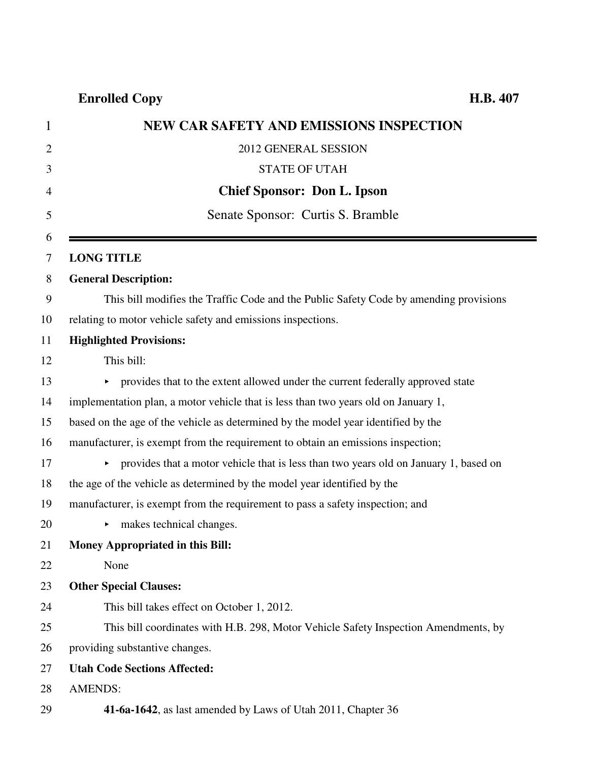| <b>NEW CAR SAFETY AND EMISSIONS INSPECTION</b>                                                                |
|---------------------------------------------------------------------------------------------------------------|
| 2012 GENERAL SESSION                                                                                          |
| <b>STATE OF UTAH</b>                                                                                          |
| <b>Chief Sponsor: Don L. Ipson</b>                                                                            |
| Senate Sponsor: Curtis S. Bramble                                                                             |
| <b>LONG TITLE</b>                                                                                             |
| <b>General Description:</b>                                                                                   |
| This bill modifies the Traffic Code and the Public Safety Code by amending provisions                         |
| relating to motor vehicle safety and emissions inspections.                                                   |
| <b>Highlighted Provisions:</b>                                                                                |
| This bill:                                                                                                    |
| • provides that to the extent allowed under the current federally approved state                              |
| implementation plan, a motor vehicle that is less than two years old on January 1,                            |
| based on the age of the vehicle as determined by the model year identified by the                             |
| manufacturer, is exempt from the requirement to obtain an emissions inspection;                               |
| provides that a motor vehicle that is less than two years old on January 1, based on<br>$\blacktriangleright$ |
| the age of the vehicle as determined by the model year identified by the                                      |
| manufacturer, is exempt from the requirement to pass a safety inspection; and                                 |
| makes technical changes.                                                                                      |
| <b>Money Appropriated in this Bill:</b>                                                                       |
| None                                                                                                          |
| <b>Other Special Clauses:</b>                                                                                 |
| This bill takes effect on October 1, 2012.                                                                    |
| This bill coordinates with H.B. 298, Motor Vehicle Safety Inspection Amendments, by                           |
| providing substantive changes.                                                                                |
| <b>Utah Code Sections Affected:</b>                                                                           |
| <b>AMENDS:</b>                                                                                                |
| 41-6a-1642, as last amended by Laws of Utah 2011, Chapter 36                                                  |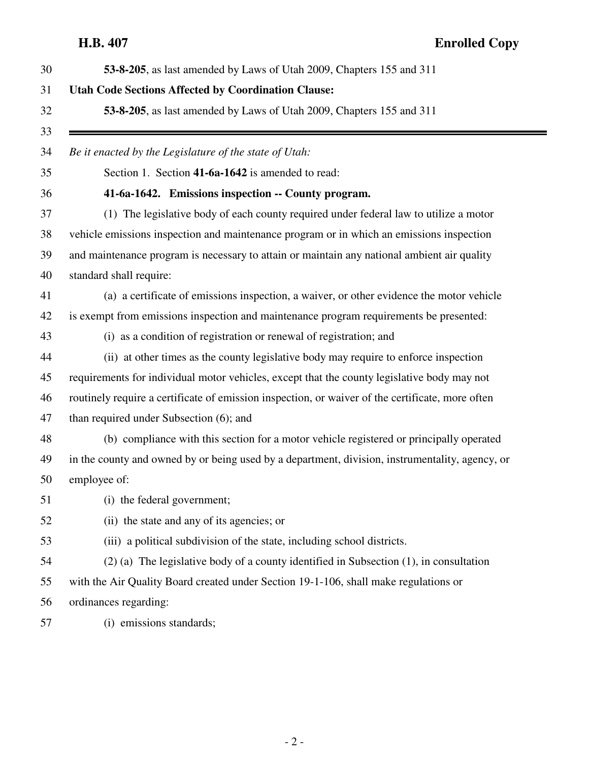# **H.B. 407 Enrolled Copy**

| 53-8-205, as last amended by Laws of Utah 2009, Chapters 155 and 311                             |
|--------------------------------------------------------------------------------------------------|
| <b>Utah Code Sections Affected by Coordination Clause:</b>                                       |
| 53-8-205, as last amended by Laws of Utah 2009, Chapters 155 and 311                             |
| Be it enacted by the Legislature of the state of Utah:                                           |
| Section 1. Section 41-6a-1642 is amended to read:                                                |
| 41-6a-1642. Emissions inspection -- County program.                                              |
| (1) The legislative body of each county required under federal law to utilize a motor            |
| vehicle emissions inspection and maintenance program or in which an emissions inspection         |
| and maintenance program is necessary to attain or maintain any national ambient air quality      |
| standard shall require:                                                                          |
| (a) a certificate of emissions inspection, a waiver, or other evidence the motor vehicle         |
| is exempt from emissions inspection and maintenance program requirements be presented:           |
| (i) as a condition of registration or renewal of registration; and                               |
| (ii) at other times as the county legislative body may require to enforce inspection             |
| requirements for individual motor vehicles, except that the county legislative body may not      |
| routinely require a certificate of emission inspection, or waiver of the certificate, more often |
| than required under Subsection (6); and                                                          |
| (b) compliance with this section for a motor vehicle registered or principally operated          |
| in the county and owned by or being used by a department, division, instrumentality, agency, or  |
| employee of:                                                                                     |
| (i) the federal government;                                                                      |
| (ii) the state and any of its agencies; or                                                       |
| (iii) a political subdivision of the state, including school districts.                          |
| $(2)$ (a) The legislative body of a county identified in Subsection $(1)$ , in consultation      |
| with the Air Quality Board created under Section 19-1-106, shall make regulations or             |
| ordinances regarding:                                                                            |
| (i) emissions standards;                                                                         |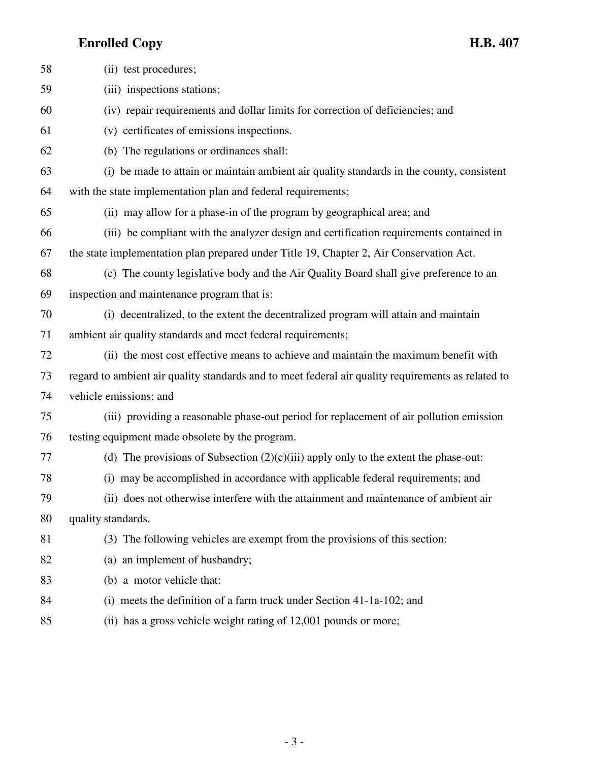| 58 | (ii) test procedures;                                                                              |
|----|----------------------------------------------------------------------------------------------------|
| 59 | (iii) inspections stations;                                                                        |
| 60 | (iv) repair requirements and dollar limits for correction of deficiencies; and                     |
| 61 | (v) certificates of emissions inspections.                                                         |
| 62 | (b) The regulations or ordinances shall:                                                           |
| 63 | (i) be made to attain or maintain ambient air quality standards in the county, consistent          |
| 64 | with the state implementation plan and federal requirements;                                       |
| 65 | (ii) may allow for a phase-in of the program by geographical area; and                             |
| 66 | (iii) be compliant with the analyzer design and certification requirements contained in            |
| 67 | the state implementation plan prepared under Title 19, Chapter 2, Air Conservation Act.            |
| 68 | (c) The county legislative body and the Air Quality Board shall give preference to an              |
| 69 | inspection and maintenance program that is:                                                        |
| 70 | (i) decentralized, to the extent the decentralized program will attain and maintain                |
| 71 | ambient air quality standards and meet federal requirements;                                       |
| 72 | (ii) the most cost effective means to achieve and maintain the maximum benefit with                |
| 73 | regard to ambient air quality standards and to meet federal air quality requirements as related to |
| 74 | vehicle emissions; and                                                                             |
| 75 | (iii) providing a reasonable phase-out period for replacement of air pollution emission            |
| 76 | testing equipment made obsolete by the program.                                                    |
| 77 | (d) The provisions of Subsection $(2)(c)(iii)$ apply only to the extent the phase-out:             |
| 78 | (i) may be accomplished in accordance with applicable federal requirements; and                    |
| 79 | (ii) does not otherwise interfere with the attainment and maintenance of ambient air               |
| 80 | quality standards.                                                                                 |
| 81 | (3) The following vehicles are exempt from the provisions of this section:                         |
| 82 | (a) an implement of husbandry;                                                                     |
| 83 | (b) a motor vehicle that:                                                                          |
| 84 | (i) meets the definition of a farm truck under Section 41-1a-102; and                              |
| 85 | (ii) has a gross vehicle weight rating of 12,001 pounds or more;                                   |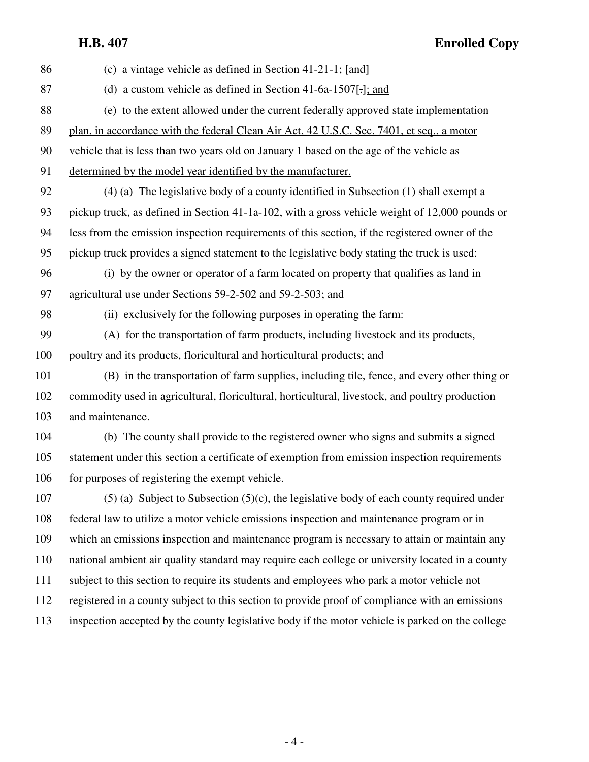## **H.B. 407 Enrolled Copy**

| 86  | (c) a vintage vehicle as defined in Section 41-21-1; $[\text{and}]$                              |
|-----|--------------------------------------------------------------------------------------------------|
| 87  | (d) a custom vehicle as defined in Section 41-6a-1507[-]; and                                    |
| 88  | (e) to the extent allowed under the current federally approved state implementation              |
| 89  | plan, in accordance with the federal Clean Air Act, 42 U.S.C. Sec. 7401, et seq., a motor        |
| 90  | vehicle that is less than two years old on January 1 based on the age of the vehicle as          |
| 91  | determined by the model year identified by the manufacturer.                                     |
| 92  | (4) (a) The legislative body of a county identified in Subsection (1) shall exempt a             |
| 93  | pickup truck, as defined in Section 41-1a-102, with a gross vehicle weight of 12,000 pounds or   |
| 94  | less from the emission inspection requirements of this section, if the registered owner of the   |
| 95  | pickup truck provides a signed statement to the legislative body stating the truck is used:      |
| 96  | (i) by the owner or operator of a farm located on property that qualifies as land in             |
| 97  | agricultural use under Sections 59-2-502 and 59-2-503; and                                       |
| 98  | (ii) exclusively for the following purposes in operating the farm:                               |
| 99  | (A) for the transportation of farm products, including livestock and its products,               |
| 100 | poultry and its products, floricultural and horticultural products; and                          |
| 101 | (B) in the transportation of farm supplies, including tile, fence, and every other thing or      |
| 102 | commodity used in agricultural, floricultural, horticultural, livestock, and poultry production  |
| 103 | and maintenance.                                                                                 |
| 104 | (b) The county shall provide to the registered owner who signs and submits a signed              |
| 105 | statement under this section a certificate of exemption from emission inspection requirements    |
| 106 | for purposes of registering the exempt vehicle.                                                  |
| 107 | $(5)$ (a) Subject to Subsection (5)(c), the legislative body of each county required under       |
| 108 | federal law to utilize a motor vehicle emissions inspection and maintenance program or in        |
| 109 | which an emissions inspection and maintenance program is necessary to attain or maintain any     |
| 110 | national ambient air quality standard may require each college or university located in a county |
| 111 | subject to this section to require its students and employees who park a motor vehicle not       |
| 112 | registered in a county subject to this section to provide proof of compliance with an emissions  |
| 113 | inspection accepted by the county legislative body if the motor vehicle is parked on the college |
|     |                                                                                                  |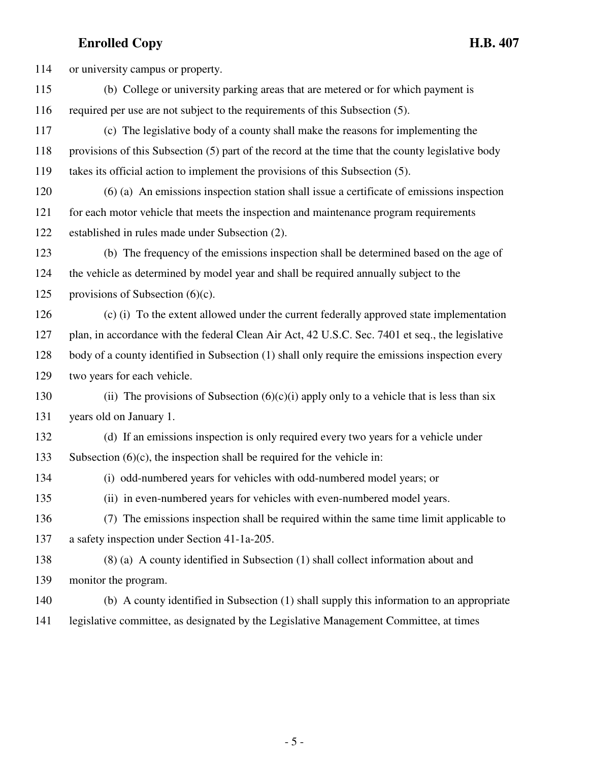114 or university campus or property. 115 (b) College or university parking areas that are metered or for which payment is 116 required per use are not subject to the requirements of this Subsection (5). 117 (c) The legislative body of a county shall make the reasons for implementing the 118 provisions of this Subsection (5) part of the record at the time that the county legislative body 119 takes its official action to implement the provisions of this Subsection (5). 120 (6) (a) An emissions inspection station shall issue a certificate of emissions inspection 121 for each motor vehicle that meets the inspection and maintenance program requirements 122 established in rules made under Subsection (2). 123 (b) The frequency of the emissions inspection shall be determined based on the age of 124 the vehicle as determined by model year and shall be required annually subject to the 125 provisions of Subsection  $(6)(c)$ . 126 (c) (i) To the extent allowed under the current federally approved state implementation 127 plan, in accordance with the federal Clean Air Act, 42 U.S.C. Sec. 7401 et seq., the legislative 128 body of a county identified in Subsection (1) shall only require the emissions inspection every 129 two years for each vehicle. 130 (ii) The provisions of Subsection  $(6)(c)(i)$  apply only to a vehicle that is less than six 131 years old on January 1. 132 (d) If an emissions inspection is only required every two years for a vehicle under 133 Subsection (6)(c), the inspection shall be required for the vehicle in: 134 (i) odd-numbered years for vehicles with odd-numbered model years; or 135 (ii) in even-numbered years for vehicles with even-numbered model years. 136 (7) The emissions inspection shall be required within the same time limit applicable to 137 a safety inspection under Section 41-1a-205. 138 (8) (a) A county identified in Subsection (1) shall collect information about and 139 monitor the program. 140 (b) A county identified in Subsection (1) shall supply this information to an appropriate 141 legislative committee, as designated by the Legislative Management Committee, at times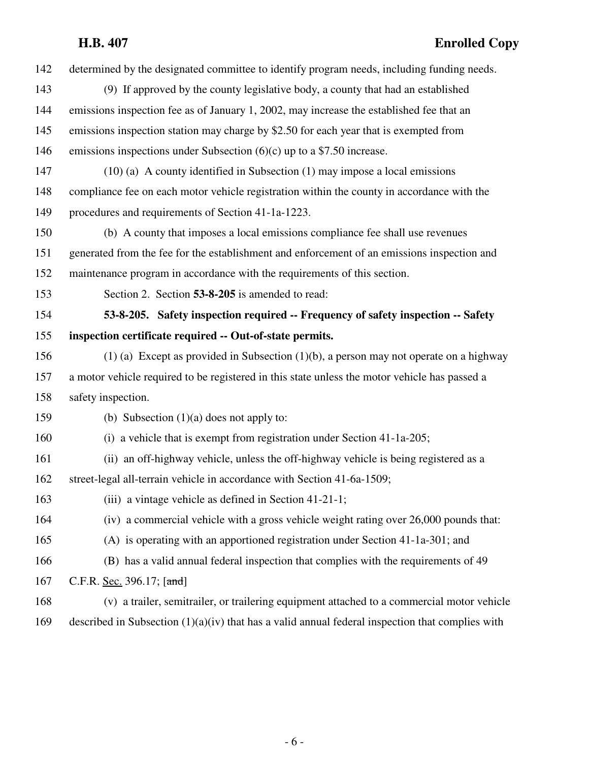| 142 | determined by the designated committee to identify program needs, including funding needs.         |
|-----|----------------------------------------------------------------------------------------------------|
| 143 | (9) If approved by the county legislative body, a county that had an established                   |
| 144 | emissions inspection fee as of January 1, 2002, may increase the established fee that an           |
| 145 | emissions inspection station may charge by \$2.50 for each year that is exempted from              |
| 146 | emissions inspections under Subsection $(6)(c)$ up to a \$7.50 increase.                           |
| 147 | $(10)$ (a) A county identified in Subsection $(1)$ may impose a local emissions                    |
| 148 | compliance fee on each motor vehicle registration within the county in accordance with the         |
| 149 | procedures and requirements of Section 41-1a-1223.                                                 |
| 150 | (b) A county that imposes a local emissions compliance fee shall use revenues                      |
| 151 | generated from the fee for the establishment and enforcement of an emissions inspection and        |
| 152 | maintenance program in accordance with the requirements of this section.                           |
| 153 | Section 2. Section 53-8-205 is amended to read:                                                    |
| 154 | 53-8-205. Safety inspection required -- Frequency of safety inspection -- Safety                   |
| 155 | inspection certificate required -- Out-of-state permits.                                           |
| 156 | $(1)$ (a) Except as provided in Subsection $(1)(b)$ , a person may not operate on a highway        |
| 157 | a motor vehicle required to be registered in this state unless the motor vehicle has passed a      |
| 158 | safety inspection.                                                                                 |
| 159 | (b) Subsection $(1)(a)$ does not apply to:                                                         |
| 160 | (i) a vehicle that is exempt from registration under Section 41-1a-205;                            |
| 161 | (ii) an off-highway vehicle, unless the off-highway vehicle is being registered as a               |
| 162 | street-legal all-terrain vehicle in accordance with Section 41-6a-1509;                            |
| 163 | (iii) a vintage vehicle as defined in Section 41-21-1;                                             |
| 164 | (iv) a commercial vehicle with a gross vehicle weight rating over 26,000 pounds that:              |
| 165 | (A) is operating with an apportioned registration under Section 41-1a-301; and                     |
| 166 | (B) has a valid annual federal inspection that complies with the requirements of 49                |
| 167 | C.F.R. Sec. 396.17; [and]                                                                          |
| 168 | (v) a trailer, semitrailer, or trailering equipment attached to a commercial motor vehicle         |
| 169 | described in Subsection $(1)(a)(iv)$ that has a valid annual federal inspection that complies with |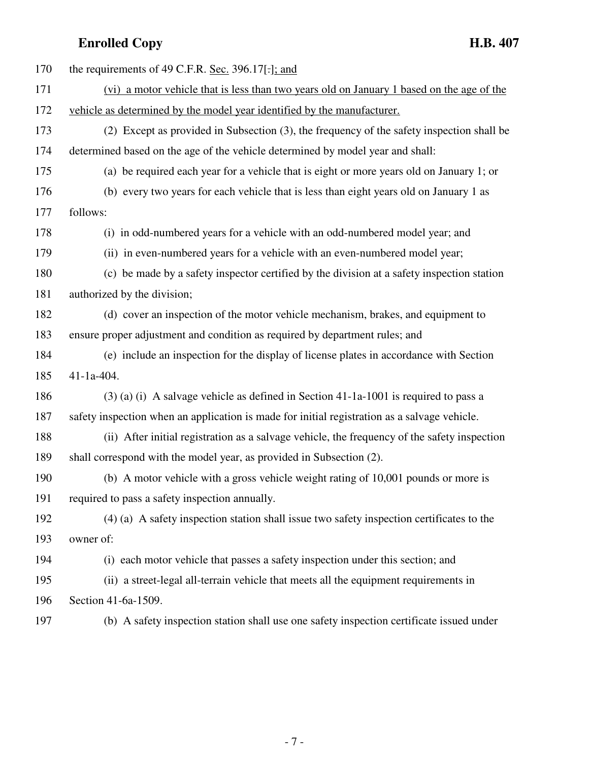| 170 | the requirements of 49 C.F.R. Sec. 396.17[.]; and                                            |
|-----|----------------------------------------------------------------------------------------------|
| 171 | (vi) a motor vehicle that is less than two years old on January 1 based on the age of the    |
| 172 | vehicle as determined by the model year identified by the manufacturer.                      |
| 173 | (2) Except as provided in Subsection (3), the frequency of the safety inspection shall be    |
| 174 | determined based on the age of the vehicle determined by model year and shall:               |
| 175 | (a) be required each year for a vehicle that is eight or more years old on January 1; or     |
| 176 | (b) every two years for each vehicle that is less than eight years old on January 1 as       |
| 177 | follows:                                                                                     |
| 178 | (i) in odd-numbered years for a vehicle with an odd-numbered model year; and                 |
| 179 | (ii) in even-numbered years for a vehicle with an even-numbered model year;                  |
| 180 | (c) be made by a safety inspector certified by the division at a safety inspection station   |
| 181 | authorized by the division;                                                                  |
| 182 | (d) cover an inspection of the motor vehicle mechanism, brakes, and equipment to             |
| 183 | ensure proper adjustment and condition as required by department rules; and                  |
| 184 | (e) include an inspection for the display of license plates in accordance with Section       |
| 185 | $41 - 1a - 404$ .                                                                            |
| 186 | $(3)$ (a) (i) A salvage vehicle as defined in Section 41-1a-1001 is required to pass a       |
| 187 | safety inspection when an application is made for initial registration as a salvage vehicle. |
| 188 | (ii) After initial registration as a salvage vehicle, the frequency of the safety inspection |
| 189 | shall correspond with the model year, as provided in Subsection (2).                         |
| 190 | (b) A motor vehicle with a gross vehicle weight rating of 10,001 pounds or more is           |
| 191 | required to pass a safety inspection annually.                                               |
| 192 | (4) (a) A safety inspection station shall issue two safety inspection certificates to the    |
| 193 | owner of:                                                                                    |
| 194 | (i) each motor vehicle that passes a safety inspection under this section; and               |
| 195 | (ii) a street-legal all-terrain vehicle that meets all the equipment requirements in         |
| 196 | Section 41-6a-1509.                                                                          |
| 197 | (b) A safety inspection station shall use one safety inspection certificate issued under     |